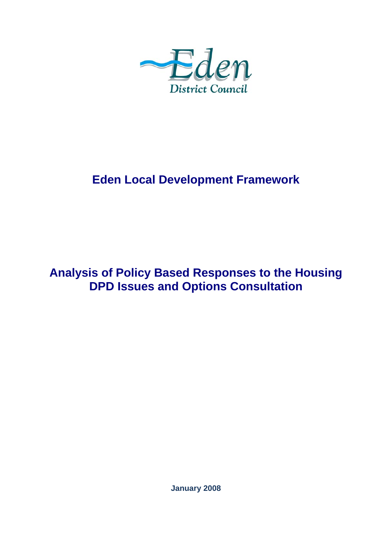

# **Eden Local Development Framework**

# **Analysis of Policy Based Responses to the Housing DPD Issues and Options Consultation**

**January 2008**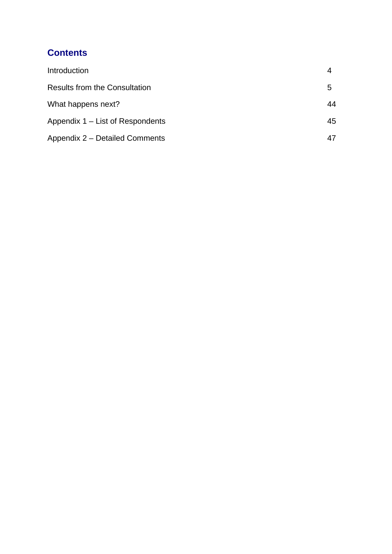# **Contents**

| Introduction                         |    |
|--------------------------------------|----|
| <b>Results from the Consultation</b> | 5  |
| What happens next?                   | 44 |
| Appendix 1 – List of Respondents     | 45 |
| Appendix 2 - Detailed Comments       |    |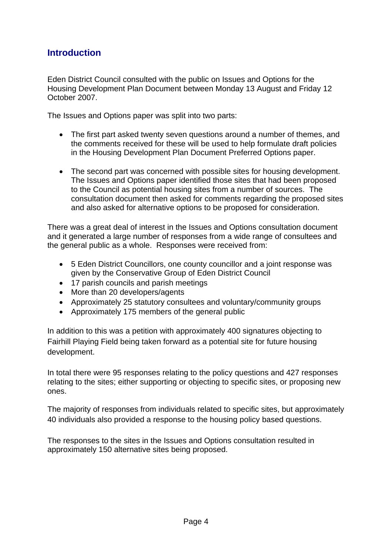# **Introduction**

Eden District Council consulted with the public on Issues and Options for the Housing Development Plan Document between Monday 13 August and Friday 12 October 2007.

The Issues and Options paper was split into two parts:

- The first part asked twenty seven questions around a number of themes, and the comments received for these will be used to help formulate draft policies in the Housing Development Plan Document Preferred Options paper.
- The second part was concerned with possible sites for housing development. The Issues and Options paper identified those sites that had been proposed to the Council as potential housing sites from a number of sources. The consultation document then asked for comments regarding the proposed sites and also asked for alternative options to be proposed for consideration.

There was a great deal of interest in the Issues and Options consultation document and it generated a large number of responses from a wide range of consultees and the general public as a whole. Responses were received from:

- 5 Eden District Councillors, one county councillor and a joint response was given by the Conservative Group of Eden District Council
- 17 parish councils and parish meetings
- More than 20 developers/agents
- Approximately 25 statutory consultees and voluntary/community groups
- Approximately 175 members of the general public

In addition to this was a petition with approximately 400 signatures objecting to Fairhill Playing Field being taken forward as a potential site for future housing development.

In total there were 95 responses relating to the policy questions and 427 responses relating to the sites; either supporting or objecting to specific sites, or proposing new ones.

The majority of responses from individuals related to specific sites, but approximately 40 individuals also provided a response to the housing policy based questions.

The responses to the sites in the Issues and Options consultation resulted in approximately 150 alternative sites being proposed.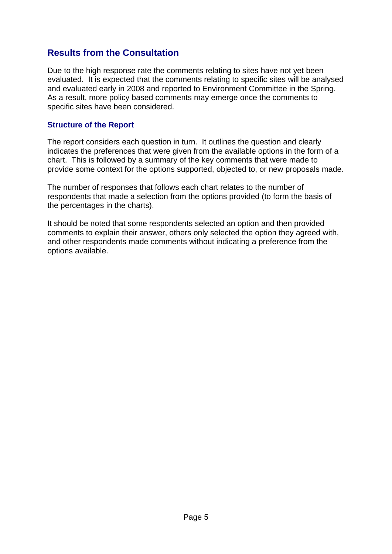# **Results from the Consultation**

Due to the high response rate the comments relating to sites have not yet been evaluated. It is expected that the comments relating to specific sites will be analysed and evaluated early in 2008 and reported to Environment Committee in the Spring. As a result, more policy based comments may emerge once the comments to specific sites have been considered.

#### **Structure of the Report**

The report considers each question in turn. It outlines the question and clearly indicates the preferences that were given from the available options in the form of a chart. This is followed by a summary of the key comments that were made to provide some context for the options supported, objected to, or new proposals made.

The number of responses that follows each chart relates to the number of respondents that made a selection from the options provided (to form the basis of the percentages in the charts).

It should be noted that some respondents selected an option and then provided comments to explain their answer, others only selected the option they agreed with, and other respondents made comments without indicating a preference from the options available.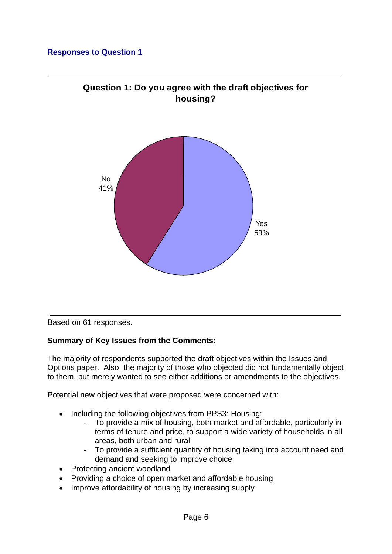

Based on 61 responses.

# **Summary of Key Issues from the Comments:**

The majority of respondents supported the draft objectives within the Issues and Options paper. Also, the majority of those who objected did not fundamentally object to them, but merely wanted to see either additions or amendments to the objectives.

Potential new objectives that were proposed were concerned with:

- Including the following objectives from PPS3: Housing:
	- To provide a mix of housing, both market and affordable, particularly in terms of tenure and price, to support a wide variety of households in all areas, both urban and rural
	- To provide a sufficient quantity of housing taking into account need and demand and seeking to improve choice
- Protecting ancient woodland
- Providing a choice of open market and affordable housing
- Improve affordability of housing by increasing supply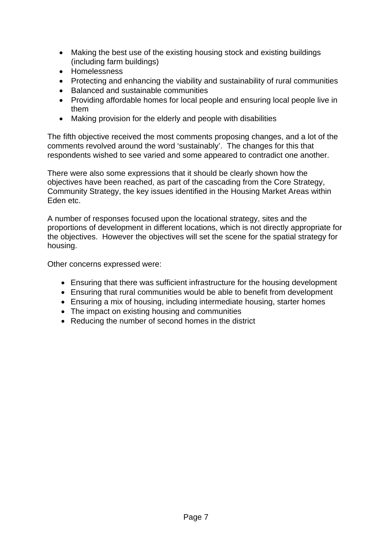- Making the best use of the existing housing stock and existing buildings (including farm buildings)
- Homelessness
- Protecting and enhancing the viability and sustainability of rural communities
- Balanced and sustainable communities
- Providing affordable homes for local people and ensuring local people live in them
- Making provision for the elderly and people with disabilities

The fifth objective received the most comments proposing changes, and a lot of the comments revolved around the word 'sustainably'. The changes for this that respondents wished to see varied and some appeared to contradict one another.

There were also some expressions that it should be clearly shown how the objectives have been reached, as part of the cascading from the Core Strategy, Community Strategy, the key issues identified in the Housing Market Areas within Eden etc.

A number of responses focused upon the locational strategy, sites and the proportions of development in different locations, which is not directly appropriate for the objectives. However the objectives will set the scene for the spatial strategy for housing.

Other concerns expressed were:

- Ensuring that there was sufficient infrastructure for the housing development
- Ensuring that rural communities would be able to benefit from development
- Ensuring a mix of housing, including intermediate housing, starter homes
- The impact on existing housing and communities
- Reducing the number of second homes in the district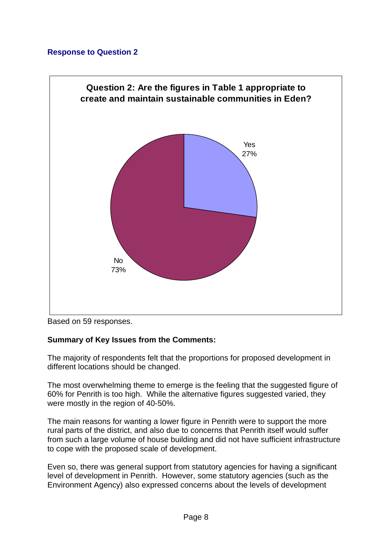

Based on 59 responses.

# **Summary of Key Issues from the Comments:**

The majority of respondents felt that the proportions for proposed development in different locations should be changed.

The most overwhelming theme to emerge is the feeling that the suggested figure of 60% for Penrith is too high. While the alternative figures suggested varied, they were mostly in the region of 40-50%.

The main reasons for wanting a lower figure in Penrith were to support the more rural parts of the district, and also due to concerns that Penrith itself would suffer from such a large volume of house building and did not have sufficient infrastructure to cope with the proposed scale of development.

Even so, there was general support from statutory agencies for having a significant level of development in Penrith. However, some statutory agencies (such as the Environment Agency) also expressed concerns about the levels of development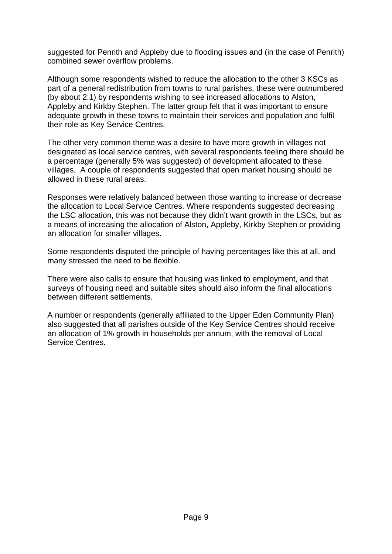suggested for Penrith and Appleby due to flooding issues and (in the case of Penrith) combined sewer overflow problems.

Although some respondents wished to reduce the allocation to the other 3 KSCs as part of a general redistribution from towns to rural parishes, these were outnumbered (by about 2:1) by respondents wishing to see increased allocations to Alston, Appleby and Kirkby Stephen. The latter group felt that it was important to ensure adequate growth in these towns to maintain their services and population and fulfil their role as Key Service Centres.

The other very common theme was a desire to have more growth in villages not designated as local service centres, with several respondents feeling there should be a percentage (generally 5% was suggested) of development allocated to these villages. A couple of respondents suggested that open market housing should be allowed in these rural areas.

Responses were relatively balanced between those wanting to increase or decrease the allocation to Local Service Centres. Where respondents suggested decreasing the LSC allocation, this was not because they didn't want growth in the LSCs, but as a means of increasing the allocation of Alston, Appleby, Kirkby Stephen or providing an allocation for smaller villages.

Some respondents disputed the principle of having percentages like this at all, and many stressed the need to be flexible.

There were also calls to ensure that housing was linked to employment, and that surveys of housing need and suitable sites should also inform the final allocations between different settlements.

A number or respondents (generally affiliated to the Upper Eden Community Plan) also suggested that all parishes outside of the Key Service Centres should receive an allocation of 1% growth in households per annum, with the removal of Local Service Centres.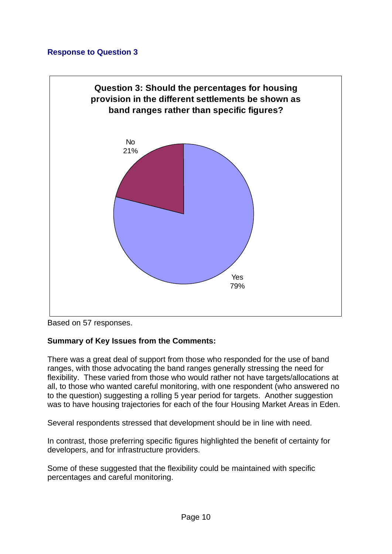

Based on 57 responses.

#### **Summary of Key Issues from the Comments:**

There was a great deal of support from those who responded for the use of band ranges, with those advocating the band ranges generally stressing the need for flexibility. These varied from those who would rather not have targets/allocations at all, to those who wanted careful monitoring, with one respondent (who answered no to the question) suggesting a rolling 5 year period for targets. Another suggestion was to have housing trajectories for each of the four Housing Market Areas in Eden.

Several respondents stressed that development should be in line with need.

In contrast, those preferring specific figures highlighted the benefit of certainty for developers, and for infrastructure providers.

Some of these suggested that the flexibility could be maintained with specific percentages and careful monitoring.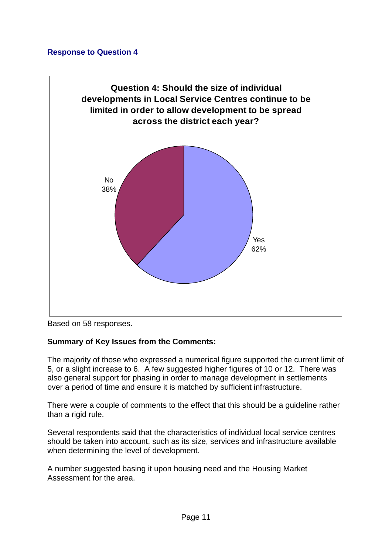

Based on 58 responses.

#### **Summary of Key Issues from the Comments:**

The majority of those who expressed a numerical figure supported the current limit of 5, or a slight increase to 6. A few suggested higher figures of 10 or 12. There was also general support for phasing in order to manage development in settlements over a period of time and ensure it is matched by sufficient infrastructure.

There were a couple of comments to the effect that this should be a guideline rather than a rigid rule.

Several respondents said that the characteristics of individual local service centres should be taken into account, such as its size, services and infrastructure available when determining the level of development.

A number suggested basing it upon housing need and the Housing Market Assessment for the area.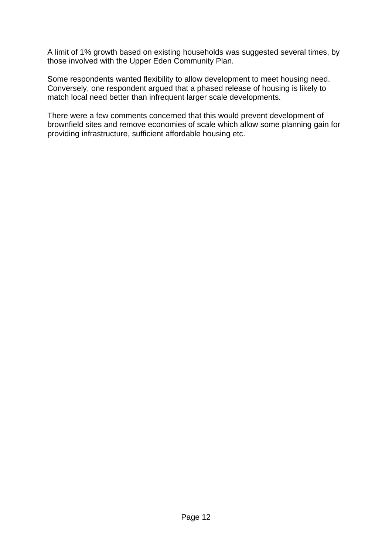A limit of 1% growth based on existing households was suggested several times, by those involved with the Upper Eden Community Plan.

Some respondents wanted flexibility to allow development to meet housing need. Conversely, one respondent argued that a phased release of housing is likely to match local need better than infrequent larger scale developments.

There were a few comments concerned that this would prevent development of brownfield sites and remove economies of scale which allow some planning gain for providing infrastructure, sufficient affordable housing etc.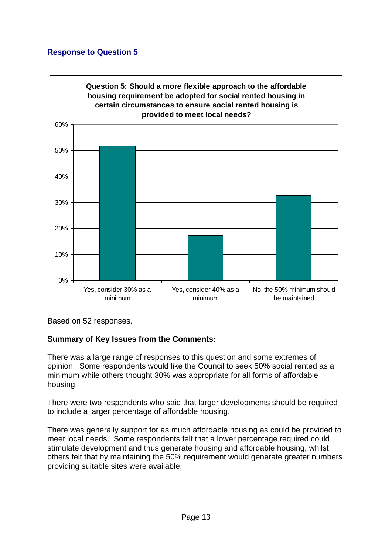

Based on 52 responses.

#### **Summary of Key Issues from the Comments:**

There was a large range of responses to this question and some extremes of opinion. Some respondents would like the Council to seek 50% social rented as a minimum while others thought 30% was appropriate for all forms of affordable housing.

There were two respondents who said that larger developments should be required to include a larger percentage of affordable housing.

There was generally support for as much affordable housing as could be provided to meet local needs. Some respondents felt that a lower percentage required could stimulate development and thus generate housing and affordable housing, whilst others felt that by maintaining the 50% requirement would generate greater numbers providing suitable sites were available.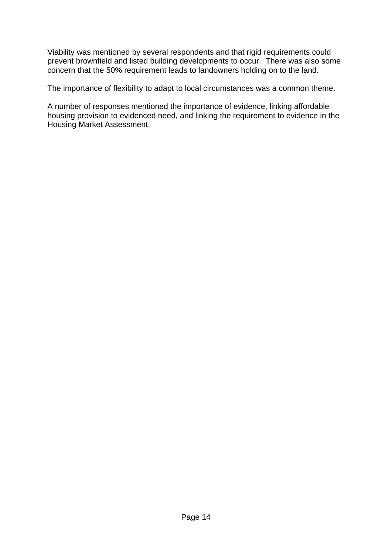Viability was mentioned by several respondents and that rigid requirements could prevent brownfield and listed building developments to occur. There was also some concern that the 50% requirement leads to landowners holding on to the land.

The importance of flexibility to adapt to local circumstances was a common theme.

A number of responses mentioned the importance of evidence, linking affordable housing provision to evidenced need, and linking the requirement to evidence in the Housing Market Assessment.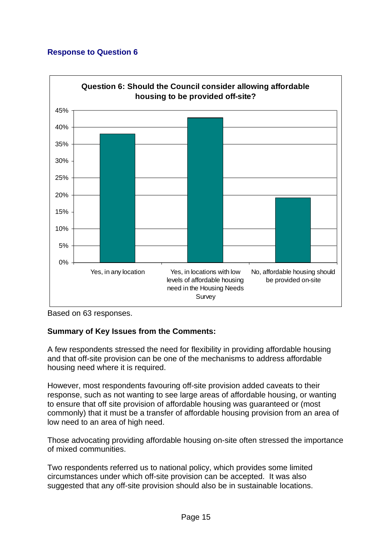

Based on 63 responses.

# **Summary of Key Issues from the Comments:**

A few respondents stressed the need for flexibility in providing affordable housing and that off-site provision can be one of the mechanisms to address affordable housing need where it is required.

However, most respondents favouring off-site provision added caveats to their response, such as not wanting to see large areas of affordable housing, or wanting to ensure that off site provision of affordable housing was guaranteed or (most commonly) that it must be a transfer of affordable housing provision from an area of low need to an area of high need.

Those advocating providing affordable housing on-site often stressed the importance of mixed communities.

Two respondents referred us to national policy, which provides some limited circumstances under which off-site provision can be accepted. It was also suggested that any off-site provision should also be in sustainable locations.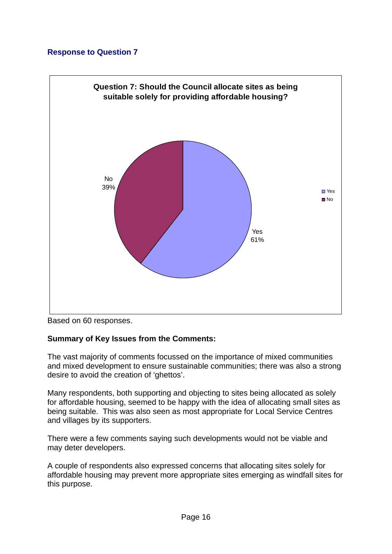

Based on 60 responses.

#### **Summary of Key Issues from the Comments:**

The vast majority of comments focussed on the importance of mixed communities and mixed development to ensure sustainable communities; there was also a strong desire to avoid the creation of 'ghettos'.

Many respondents, both supporting and objecting to sites being allocated as solely for affordable housing, seemed to be happy with the idea of allocating small sites as being suitable. This was also seen as most appropriate for Local Service Centres and villages by its supporters.

There were a few comments saying such developments would not be viable and may deter developers.

A couple of respondents also expressed concerns that allocating sites solely for affordable housing may prevent more appropriate sites emerging as windfall sites for this purpose.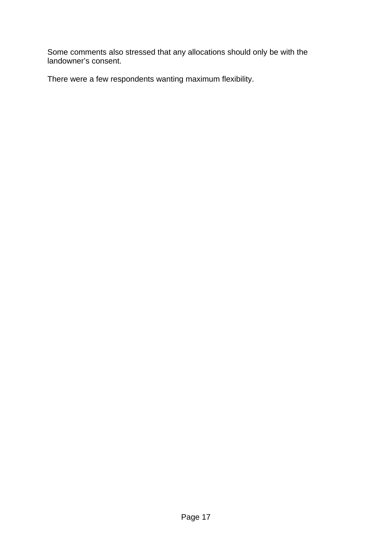Some comments also stressed that any allocations should only be with the landowner's consent.

There were a few respondents wanting maximum flexibility.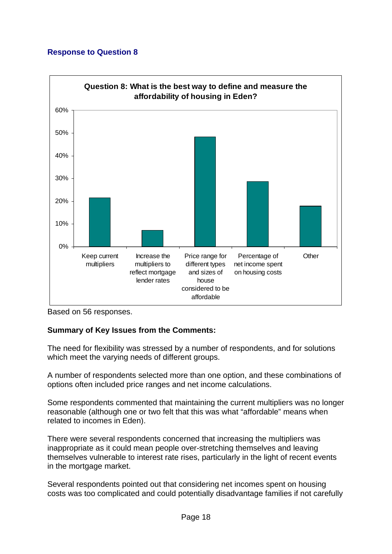

Based on 56 responses.

# **Summary of Key Issues from the Comments:**

The need for flexibility was stressed by a number of respondents, and for solutions which meet the varying needs of different groups.

A number of respondents selected more than one option, and these combinations of options often included price ranges and net income calculations.

Some respondents commented that maintaining the current multipliers was no longer reasonable (although one or two felt that this was what "affordable" means when related to incomes in Eden).

There were several respondents concerned that increasing the multipliers was inappropriate as it could mean people over-stretching themselves and leaving themselves vulnerable to interest rate rises, particularly in the light of recent events in the mortgage market.

Several respondents pointed out that considering net incomes spent on housing costs was too complicated and could potentially disadvantage families if not carefully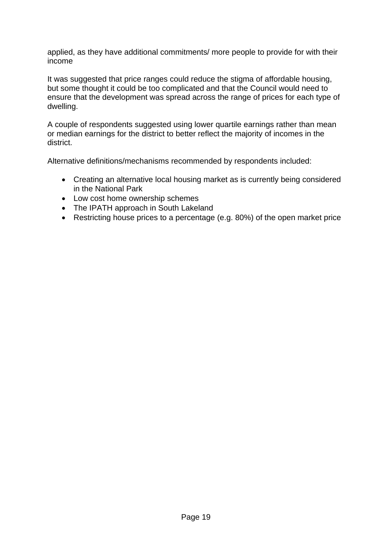applied, as they have additional commitments/ more people to provide for with their income

It was suggested that price ranges could reduce the stigma of affordable housing, but some thought it could be too complicated and that the Council would need to ensure that the development was spread across the range of prices for each type of dwelling.

A couple of respondents suggested using lower quartile earnings rather than mean or median earnings for the district to better reflect the majority of incomes in the district.

Alternative definitions/mechanisms recommended by respondents included:

- Creating an alternative local housing market as is currently being considered in the National Park
- Low cost home ownership schemes
- The IPATH approach in South Lakeland
- Restricting house prices to a percentage (e.g. 80%) of the open market price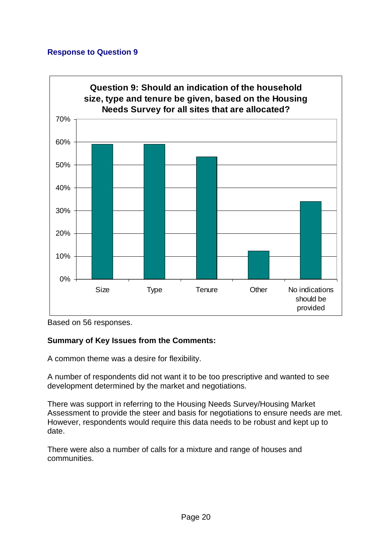

Based on 56 responses.

# **Summary of Key Issues from the Comments:**

A common theme was a desire for flexibility.

A number of respondents did not want it to be too prescriptive and wanted to see development determined by the market and negotiations.

There was support in referring to the Housing Needs Survey/Housing Market Assessment to provide the steer and basis for negotiations to ensure needs are met. However, respondents would require this data needs to be robust and kept up to date.

There were also a number of calls for a mixture and range of houses and communities.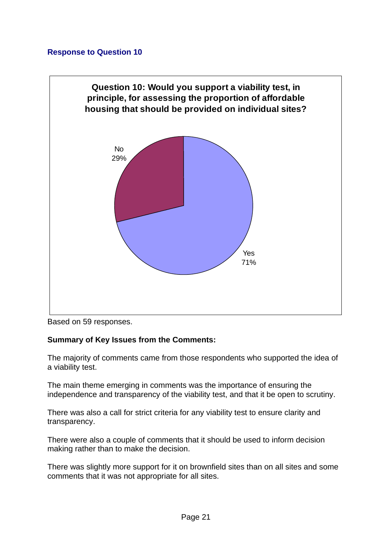

Based on 59 responses.

#### **Summary of Key Issues from the Comments:**

The majority of comments came from those respondents who supported the idea of a viability test.

The main theme emerging in comments was the importance of ensuring the independence and transparency of the viability test, and that it be open to scrutiny.

There was also a call for strict criteria for any viability test to ensure clarity and transparency.

There were also a couple of comments that it should be used to inform decision making rather than to make the decision.

There was slightly more support for it on brownfield sites than on all sites and some comments that it was not appropriate for all sites.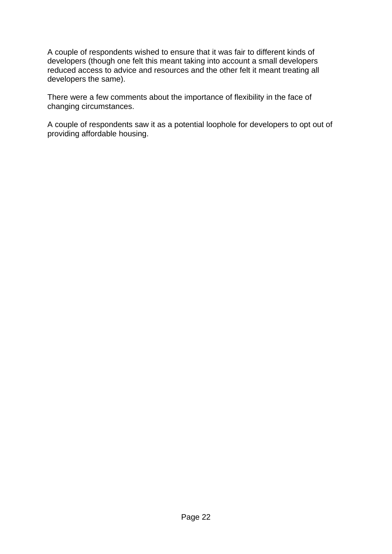A couple of respondents wished to ensure that it was fair to different kinds of developers (though one felt this meant taking into account a small developers reduced access to advice and resources and the other felt it meant treating all developers the same).

There were a few comments about the importance of flexibility in the face of changing circumstances.

A couple of respondents saw it as a potential loophole for developers to opt out of providing affordable housing.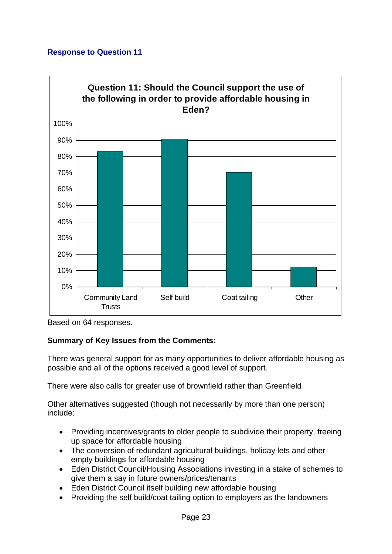

Based on 64 responses.

# **Summary of Key Issues from the Comments:**

There was general support for as many opportunities to deliver affordable housing as possible and all of the options received a good level of support.

There were also calls for greater use of brownfield rather than Greenfield

Other alternatives suggested (though not necessarily by more than one person) include:

- Providing incentives/grants to older people to subdivide their property, freeing up space for affordable housing
- The conversion of redundant agricultural buildings, holiday lets and other empty buildings for affordable housing
- Eden District Council/Housing Associations investing in a stake of schemes to give them a say in future owners/prices/tenants
- Eden District Council itself building new affordable housing
- Providing the self build/coat tailing option to employers as the landowners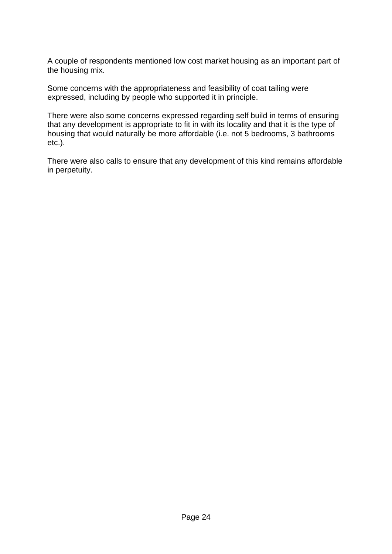A couple of respondents mentioned low cost market housing as an important part of the housing mix.

Some concerns with the appropriateness and feasibility of coat tailing were expressed, including by people who supported it in principle.

There were also some concerns expressed regarding self build in terms of ensuring that any development is appropriate to fit in with its locality and that it is the type of housing that would naturally be more affordable (i.e. not 5 bedrooms, 3 bathrooms etc.).

There were also calls to ensure that any development of this kind remains affordable in perpetuity.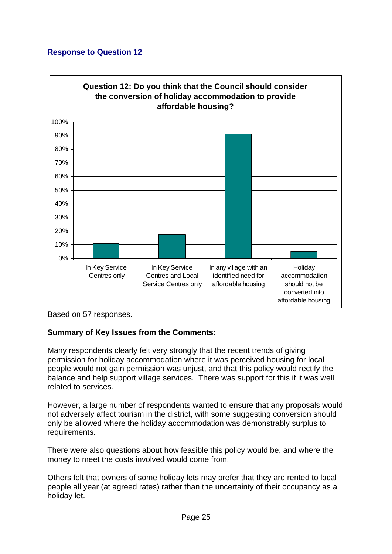

Based on 57 responses.

# **Summary of Key Issues from the Comments:**

Many respondents clearly felt very strongly that the recent trends of giving permission for holiday accommodation where it was perceived housing for local people would not gain permission was unjust, and that this policy would rectify the balance and help support village services. There was support for this if it was well related to services.

However, a large number of respondents wanted to ensure that any proposals would not adversely affect tourism in the district, with some suggesting conversion should only be allowed where the holiday accommodation was demonstrably surplus to requirements.

There were also questions about how feasible this policy would be, and where the money to meet the costs involved would come from.

Others felt that owners of some holiday lets may prefer that they are rented to local people all year (at agreed rates) rather than the uncertainty of their occupancy as a holiday let.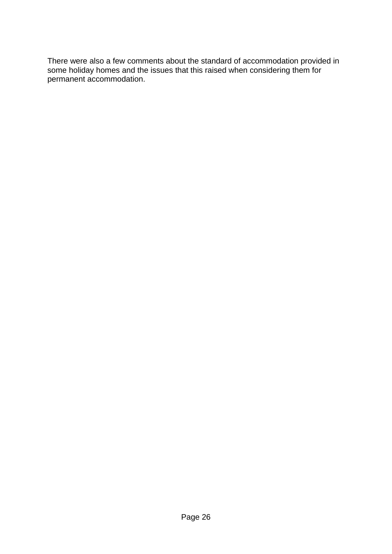There were also a few comments about the standard of accommodation provided in some holiday homes and the issues that this raised when considering them for permanent accommodation.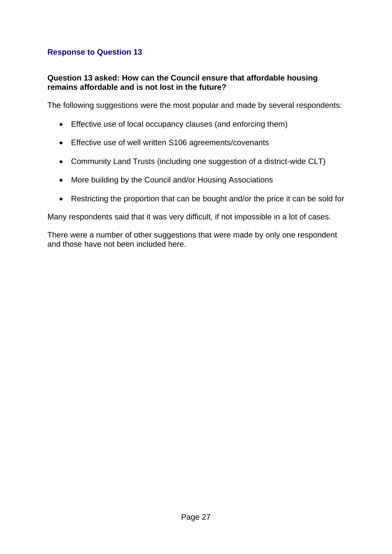#### **Question 13 asked: How can the Council ensure that affordable housing remains affordable and is not lost in the future?**

The following suggestions were the most popular and made by several respondents:

- Effective use of local occupancy clauses (and enforcing them)
- Effective use of well written S106 agreements/covenants
- Community Land Trusts (including one suggestion of a district-wide CLT)
- More building by the Council and/or Housing Associations
- Restricting the proportion that can be bought and/or the price it can be sold for

Many respondents said that it was very difficult, if not impossible in a lot of cases.

There were a number of other suggestions that were made by only one respondent and those have not been included here.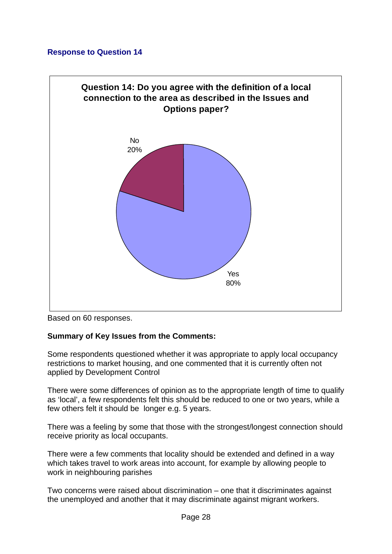

Based on 60 responses.

#### **Summary of Key Issues from the Comments:**

Some respondents questioned whether it was appropriate to apply local occupancy restrictions to market housing, and one commented that it is currently often not applied by Development Control

There were some differences of opinion as to the appropriate length of time to qualify as 'local', a few respondents felt this should be reduced to one or two years, while a few others felt it should be longer e.g. 5 years.

There was a feeling by some that those with the strongest/longest connection should receive priority as local occupants.

There were a few comments that locality should be extended and defined in a way which takes travel to work areas into account, for example by allowing people to work in neighbouring parishes

Two concerns were raised about discrimination – one that it discriminates against the unemployed and another that it may discriminate against migrant workers.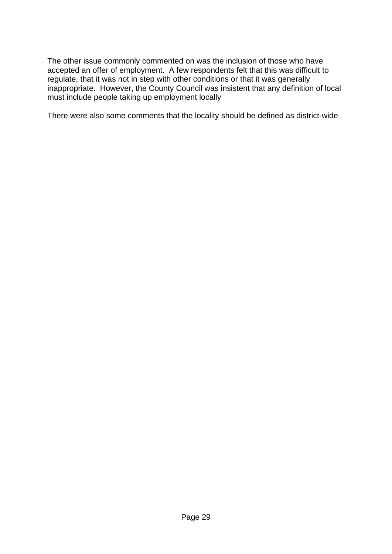The other issue commonly commented on was the inclusion of those who have accepted an offer of employment. A few respondents felt that this was difficult to regulate, that it was not in step with other conditions or that it was generally inappropriate. However, the County Council was insistent that any definition of local must include people taking up employment locally

There were also some comments that the locality should be defined as district-wide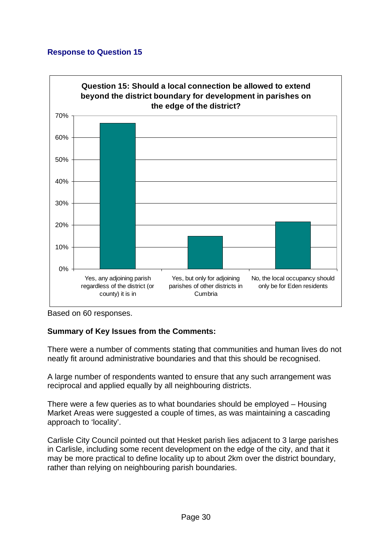

Based on 60 responses.

# **Summary of Key Issues from the Comments:**

There were a number of comments stating that communities and human lives do not neatly fit around administrative boundaries and that this should be recognised.

A large number of respondents wanted to ensure that any such arrangement was reciprocal and applied equally by all neighbouring districts.

There were a few queries as to what boundaries should be employed – Housing Market Areas were suggested a couple of times, as was maintaining a cascading approach to 'locality'.

Carlisle City Council pointed out that Hesket parish lies adjacent to 3 large parishes in Carlisle, including some recent development on the edge of the city, and that it may be more practical to define locality up to about 2km over the district boundary, rather than relying on neighbouring parish boundaries.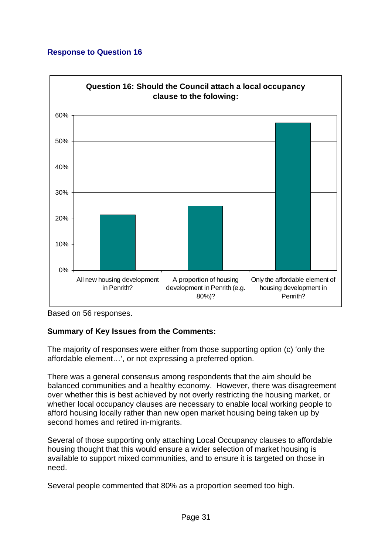

Based on 56 responses.

# **Summary of Key Issues from the Comments:**

The majority of responses were either from those supporting option (c) 'only the affordable element…', or not expressing a preferred option.

There was a general consensus among respondents that the aim should be balanced communities and a healthy economy. However, there was disagreement over whether this is best achieved by not overly restricting the housing market, or whether local occupancy clauses are necessary to enable local working people to afford housing locally rather than new open market housing being taken up by second homes and retired in-migrants.

Several of those supporting only attaching Local Occupancy clauses to affordable housing thought that this would ensure a wider selection of market housing is available to support mixed communities, and to ensure it is targeted on those in need.

Several people commented that 80% as a proportion seemed too high.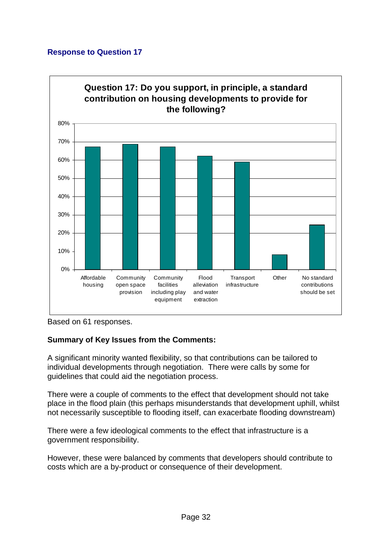

Based on 61 responses.

# **Summary of Key Issues from the Comments:**

A significant minority wanted flexibility, so that contributions can be tailored to individual developments through negotiation. There were calls by some for guidelines that could aid the negotiation process.

There were a couple of comments to the effect that development should not take place in the flood plain (this perhaps misunderstands that development uphill, whilst not necessarily susceptible to flooding itself, can exacerbate flooding downstream)

There were a few ideological comments to the effect that infrastructure is a government responsibility.

However, these were balanced by comments that developers should contribute to costs which are a by-product or consequence of their development.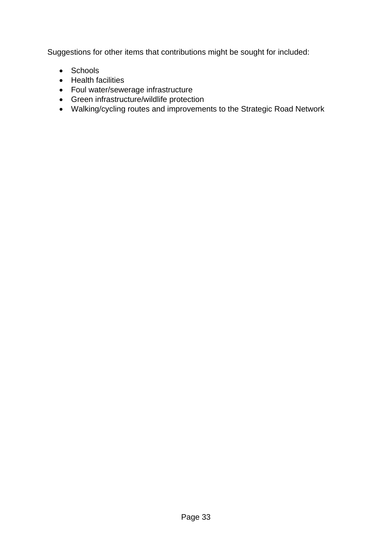Suggestions for other items that contributions might be sought for included:

- Schools
- Health facilities
- Foul water/sewerage infrastructure
- Green infrastructure/wildlife protection
- Walking/cycling routes and improvements to the Strategic Road Network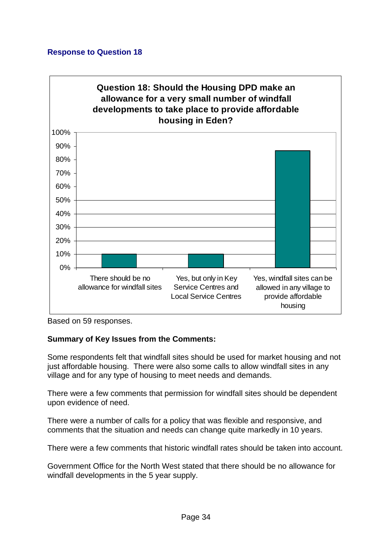

Based on 59 responses.

#### **Summary of Key Issues from the Comments:**

Some respondents felt that windfall sites should be used for market housing and not just affordable housing. There were also some calls to allow windfall sites in any village and for any type of housing to meet needs and demands.

There were a few comments that permission for windfall sites should be dependent upon evidence of need.

There were a number of calls for a policy that was flexible and responsive, and comments that the situation and needs can change quite markedly in 10 years.

There were a few comments that historic windfall rates should be taken into account.

Government Office for the North West stated that there should be no allowance for windfall developments in the 5 year supply.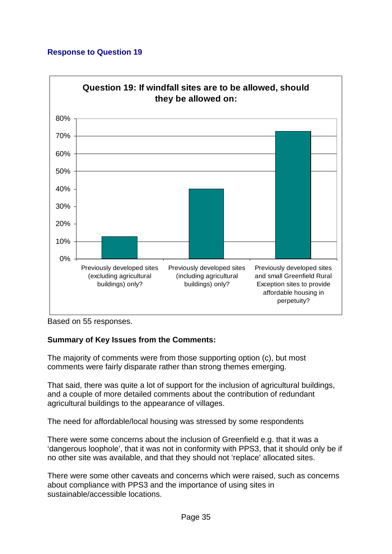

Based on 55 responses.

# **Summary of Key Issues from the Comments:**

The majority of comments were from those supporting option (c), but most comments were fairly disparate rather than strong themes emerging.

That said, there was quite a lot of support for the inclusion of agricultural buildings, and a couple of more detailed comments about the contribution of redundant agricultural buildings to the appearance of villages.

The need for affordable/local housing was stressed by some respondents

There were some concerns about the inclusion of Greenfield e.g. that it was a 'dangerous loophole', that it was not in conformity with PPS3, that it should only be if no other site was available, and that they should not 'replace' allocated sites.

There were some other caveats and concerns which were raised, such as concerns about compliance with PPS3 and the importance of using sites in sustainable/accessible locations.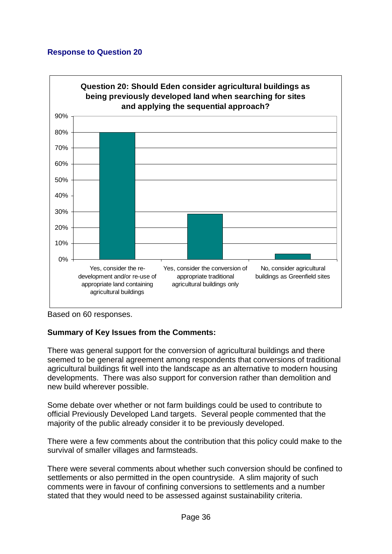

Based on 60 responses.

#### **Summary of Key Issues from the Comments:**

There was general support for the conversion of agricultural buildings and there seemed to be general agreement among respondents that conversions of traditional agricultural buildings fit well into the landscape as an alternative to modern housing developments. There was also support for conversion rather than demolition and new build wherever possible.

Some debate over whether or not farm buildings could be used to contribute to official Previously Developed Land targets. Several people commented that the majority of the public already consider it to be previously developed.

There were a few comments about the contribution that this policy could make to the survival of smaller villages and farmsteads.

There were several comments about whether such conversion should be confined to settlements or also permitted in the open countryside. A slim majority of such comments were in favour of confining conversions to settlements and a number stated that they would need to be assessed against sustainability criteria.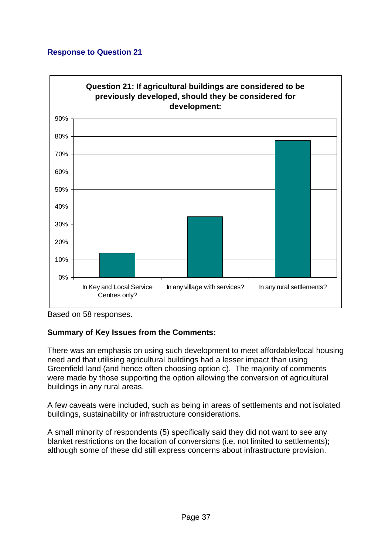

Based on 58 responses.

# **Summary of Key Issues from the Comments:**

There was an emphasis on using such development to meet affordable/local housing need and that utilising agricultural buildings had a lesser impact than using Greenfield land (and hence often choosing option c). The majority of comments were made by those supporting the option allowing the conversion of agricultural buildings in any rural areas.

A few caveats were included, such as being in areas of settlements and not isolated buildings, sustainability or infrastructure considerations.

A small minority of respondents (5) specifically said they did not want to see any blanket restrictions on the location of conversions (i.e. not limited to settlements); although some of these did still express concerns about infrastructure provision.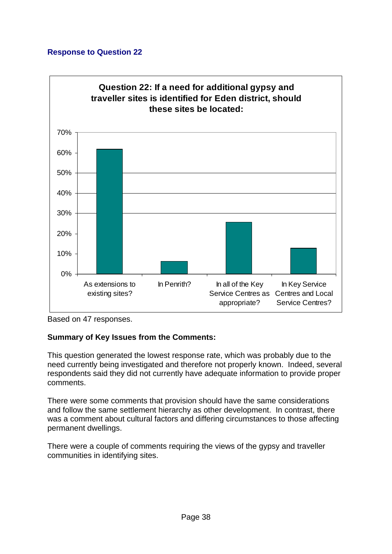

Based on 47 responses.

# **Summary of Key Issues from the Comments:**

This question generated the lowest response rate, which was probably due to the need currently being investigated and therefore not properly known. Indeed, several respondents said they did not currently have adequate information to provide proper comments.

There were some comments that provision should have the same considerations and follow the same settlement hierarchy as other development. In contrast, there was a comment about cultural factors and differing circumstances to those affecting permanent dwellings.

There were a couple of comments requiring the views of the gypsy and traveller communities in identifying sites.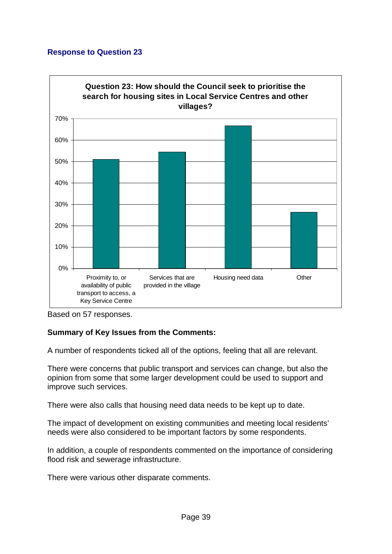

Based on 57 responses.

# **Summary of Key Issues from the Comments:**

A number of respondents ticked all of the options, feeling that all are relevant.

There were concerns that public transport and services can change, but also the opinion from some that some larger development could be used to support and improve such services.

There were also calls that housing need data needs to be kept up to date.

The impact of development on existing communities and meeting local residents' needs were also considered to be important factors by some respondents.

In addition, a couple of respondents commented on the importance of considering flood risk and sewerage infrastructure.

There were various other disparate comments.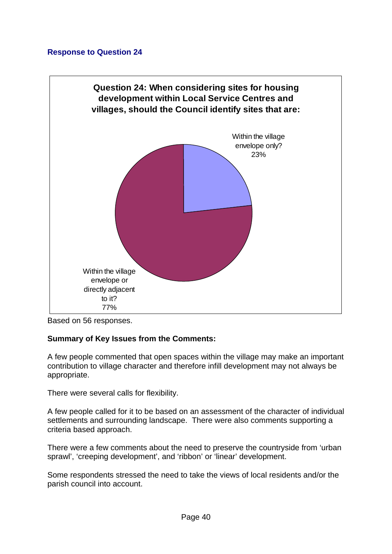

Based on 56 responses.

#### **Summary of Key Issues from the Comments:**

A few people commented that open spaces within the village may make an important contribution to village character and therefore infill development may not always be appropriate.

There were several calls for flexibility.

A few people called for it to be based on an assessment of the character of individual settlements and surrounding landscape. There were also comments supporting a criteria based approach.

There were a few comments about the need to preserve the countryside from 'urban sprawl', 'creeping development', and 'ribbon' or 'linear' development.

Some respondents stressed the need to take the views of local residents and/or the parish council into account.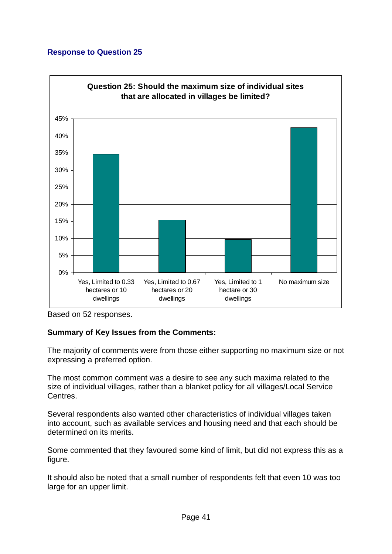

Based on 52 responses.

# **Summary of Key Issues from the Comments:**

The majority of comments were from those either supporting no maximum size or not expressing a preferred option.

The most common comment was a desire to see any such maxima related to the size of individual villages, rather than a blanket policy for all villages/Local Service Centres.

Several respondents also wanted other characteristics of individual villages taken into account, such as available services and housing need and that each should be determined on its merits.

Some commented that they favoured some kind of limit, but did not express this as a figure.

It should also be noted that a small number of respondents felt that even 10 was too large for an upper limit.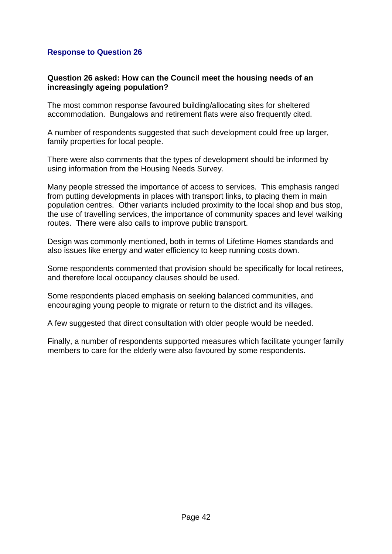#### **Question 26 asked: How can the Council meet the housing needs of an increasingly ageing population?**

The most common response favoured building/allocating sites for sheltered accommodation. Bungalows and retirement flats were also frequently cited.

A number of respondents suggested that such development could free up larger, family properties for local people.

There were also comments that the types of development should be informed by using information from the Housing Needs Survey.

Many people stressed the importance of access to services. This emphasis ranged from putting developments in places with transport links, to placing them in main population centres. Other variants included proximity to the local shop and bus stop, the use of travelling services, the importance of community spaces and level walking routes. There were also calls to improve public transport.

Design was commonly mentioned, both in terms of Lifetime Homes standards and also issues like energy and water efficiency to keep running costs down.

Some respondents commented that provision should be specifically for local retirees, and therefore local occupancy clauses should be used.

Some respondents placed emphasis on seeking balanced communities, and encouraging young people to migrate or return to the district and its villages.

A few suggested that direct consultation with older people would be needed.

Finally, a number of respondents supported measures which facilitate younger family members to care for the elderly were also favoured by some respondents.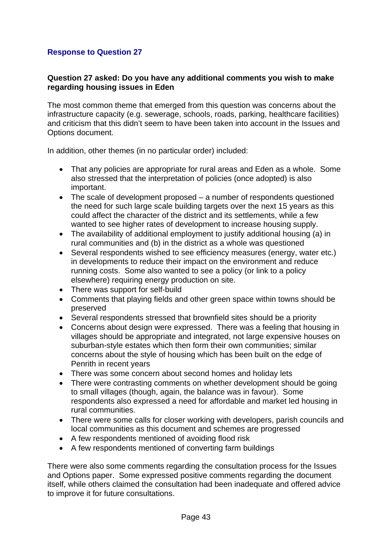#### **Question 27 asked: Do you have any additional comments you wish to make regarding housing issues in Eden**

The most common theme that emerged from this question was concerns about the infrastructure capacity (e.g. sewerage, schools, roads, parking, healthcare facilities) and criticism that this didn't seem to have been taken into account in the Issues and Options document.

In addition, other themes (in no particular order) included:

- That any policies are appropriate for rural areas and Eden as a whole. Some also stressed that the interpretation of policies (once adopted) is also important.
- The scale of development proposed a number of respondents questioned the need for such large scale building targets over the next 15 years as this could affect the character of the district and its settlements, while a few wanted to see higher rates of development to increase housing supply.
- The availability of additional employment to justify additional housing (a) in rural communities and (b) in the district as a whole was questioned
- Several respondents wished to see efficiency measures (energy, water etc.) in developments to reduce their impact on the environment and reduce running costs. Some also wanted to see a policy (or link to a policy elsewhere) requiring energy production on site.
- There was support for self-build
- Comments that playing fields and other green space within towns should be preserved
- Several respondents stressed that brownfield sites should be a priority
- Concerns about design were expressed. There was a feeling that housing in villages should be appropriate and integrated, not large expensive houses on suburban-style estates which then form their own communities; similar concerns about the style of housing which has been built on the edge of Penrith in recent years
- There was some concern about second homes and holiday lets
- There were contrasting comments on whether development should be going to small villages (though, again, the balance was in favour). Some respondents also expressed a need for affordable and market led housing in rural communities.
- There were some calls for closer working with developers, parish councils and local communities as this document and schemes are progressed
- A few respondents mentioned of avoiding flood risk
- A few respondents mentioned of converting farm buildings

There were also some comments regarding the consultation process for the Issues and Options paper. Some expressed positive comments regarding the document itself, while others claimed the consultation had been inadequate and offered advice to improve it for future consultations.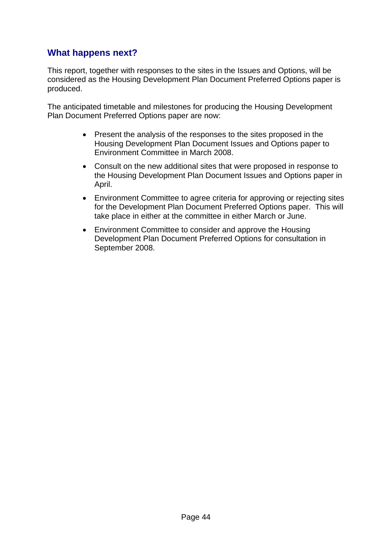# **What happens next?**

This report, together with responses to the sites in the Issues and Options, will be considered as the Housing Development Plan Document Preferred Options paper is produced.

The anticipated timetable and milestones for producing the Housing Development Plan Document Preferred Options paper are now:

- Present the analysis of the responses to the sites proposed in the Housing Development Plan Document Issues and Options paper to Environment Committee in March 2008.
- Consult on the new additional sites that were proposed in response to the Housing Development Plan Document Issues and Options paper in April.
- Environment Committee to agree criteria for approving or rejecting sites for the Development Plan Document Preferred Options paper. This will take place in either at the committee in either March or June.
- Environment Committee to consider and approve the Housing Development Plan Document Preferred Options for consultation in September 2008.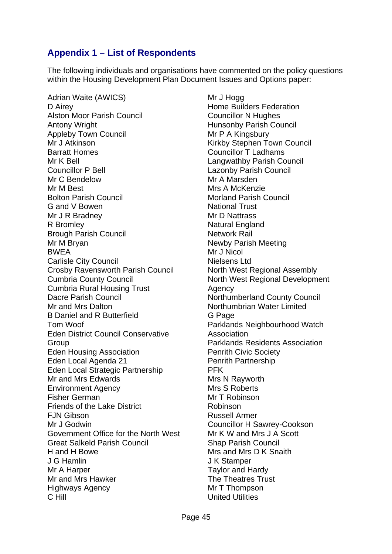# **Appendix 1 – List of Respondents**

The following individuals and organisations have commented on the policy questions within the Housing Development Plan Document Issues and Options paper:

Adrian Waite (AWICS) D Airey Alston Moor Parish Council Antony Wright Appleby Town Council Mr J Atkinson Barratt Homes Mr K Bell Councillor P Bell Mr C Bendelow Mr M Best Bolton Parish Council G and V Bowen Mr J R Bradney R Bromley Brough Parish Council Mr M Bryan BWEA Carlisle City Council Crosby Ravensworth Parish Council Cumbria County Council Cumbria Rural Housing Trust Dacre Parish Council Mr and Mrs Dalton B Daniel and R Butterfield Tom Woof Eden District Council Conservative Group Eden Housing Association Eden Local Agenda 21 Eden Local Strategic Partnership Mr and Mrs Edwards Environment Agency Fisher German Friends of the Lake District FJN Gibson Mr J Godwin Government Office for the North West Great Salkeld Parish Council H and H Bowe J G Hamlin Mr A Harper Mr and Mrs Hawker Highways Agency C Hill

Mr J Hogg Home Builders Federation Councillor N Hughes Hunsonby Parish Council Mr P A Kingsbury Kirkby Stephen Town Council Councillor T Ladhams Langwathby Parish Council Lazonby Parish Council Mr A Marsden Mrs A McKenzie Morland Parish Council National Trust Mr D Nattrass Natural England Network Rail Newby Parish Meeting Mr J Nicol Nielsens Ltd North West Regional Assembly North West Regional Development Agency Northumberland County Council Northumbrian Water Limited G Page Parklands Neighbourhood Watch Association Parklands Residents Association Penrith Civic Society Penrith Partnership PFK Mrs N Rayworth Mrs S Roberts Mr T Robinson Robinson Russell Armer Councillor H Sawrey-Cookson Mr K W and Mrs J A Scott Shap Parish Council Mrs and Mrs D K Snaith J K Stamper Taylor and Hardy The Theatres Trust Mr T Thompson United Utilities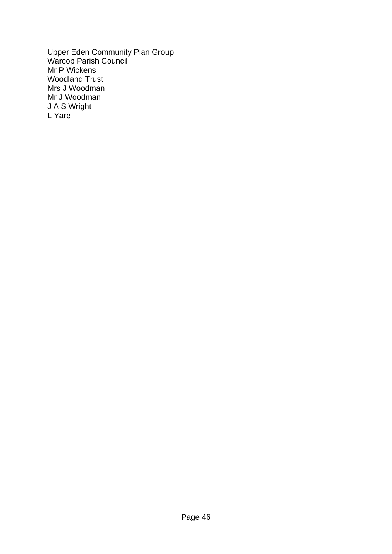Upper Eden Community Plan Group Warcop Parish Council Mr P Wickens Woodland Trust Mrs J Woodman Mr J Woodman J A S Wright L Yare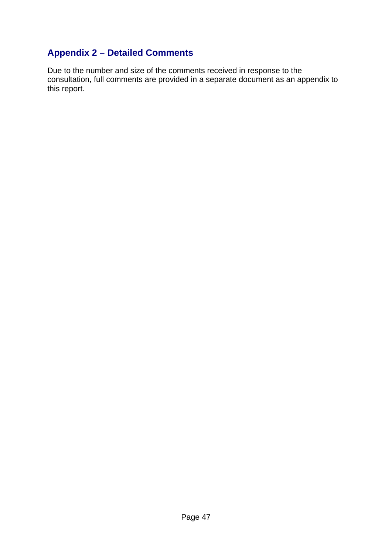# **Appendix 2 – Detailed Comments**

Due to the number and size of the comments received in response to the consultation, full comments are provided in a separate document as an appendix to this report.